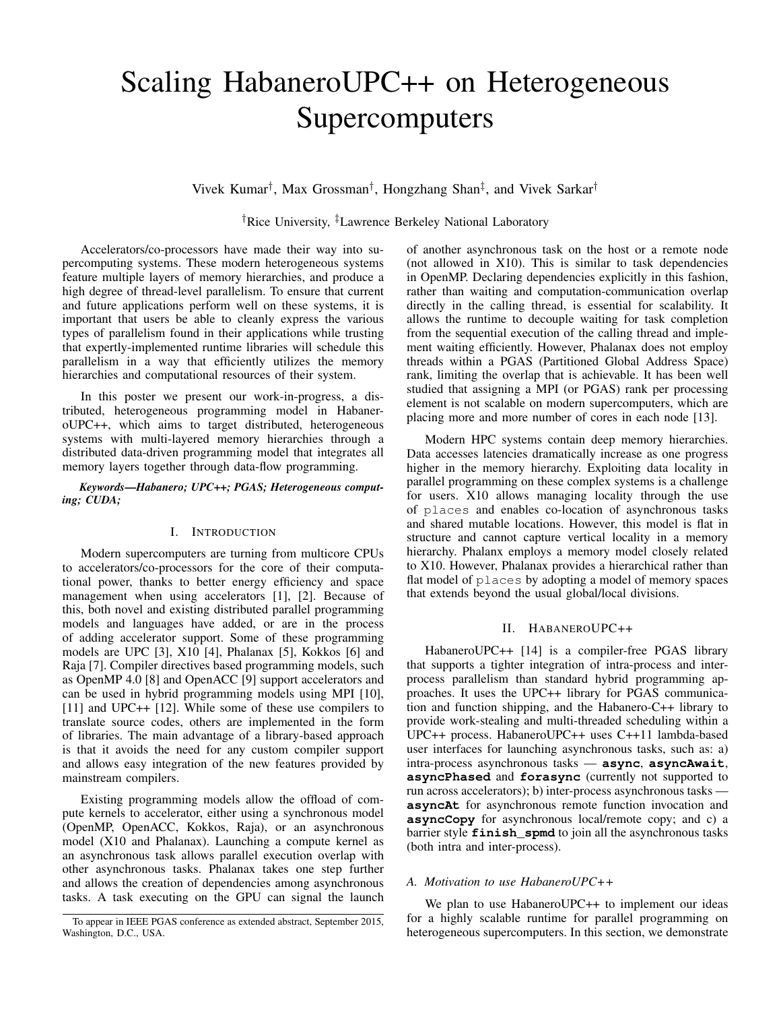# Scaling HabaneroUPC++ on Heterogeneous **Supercomputers**

Vivek Kumar† , Max Grossman† , Hongzhang Shan‡ , and Vivek Sarkar†

†Rice University, ‡Lawrence Berkeley National Laboratory

Accelerators/co-processors have made their way into supercomputing systems. These modern heterogeneous systems feature multiple layers of memory hierarchies, and produce a high degree of thread-level parallelism. To ensure that current and future applications perform well on these systems, it is important that users be able to cleanly express the various types of parallelism found in their applications while trusting that expertly-implemented runtime libraries will schedule this parallelism in a way that efficiently utilizes the memory hierarchies and computational resources of their system.

In this poster we present our work-in-progress, a distributed, heterogeneous programming model in HabaneroUPC++, which aims to target distributed, heterogeneous systems with multi-layered memory hierarchies through a distributed data-driven programming model that integrates all memory layers together through data-flow programming.

*Keywords*—*Habanero; UPC++; PGAS; Heterogeneous computing; CUDA;*

## I. INTRODUCTION

Modern supercomputers are turning from multicore CPUs to accelerators/co-processors for the core of their computational power, thanks to better energy efficiency and space management when using accelerators [1], [2]. Because of this, both novel and existing distributed parallel programming models and languages have added, or are in the process of adding accelerator support. Some of these programming models are UPC [3], X10 [4], Phalanax [5], Kokkos [6] and Raja [7]. Compiler directives based programming models, such as OpenMP 4.0 [8] and OpenACC [9] support accelerators and can be used in hybrid programming models using MPI [10], [11] and UPC++ [12]. While some of these use compilers to translate source codes, others are implemented in the form of libraries. The main advantage of a library-based approach is that it avoids the need for any custom compiler support and allows easy integration of the new features provided by mainstream compilers.

Existing programming models allow the offload of compute kernels to accelerator, either using a synchronous model (OpenMP, OpenACC, Kokkos, Raja), or an asynchronous model (X10 and Phalanax). Launching a compute kernel as an asynchronous task allows parallel execution overlap with other asynchronous tasks. Phalanax takes one step further and allows the creation of dependencies among asynchronous tasks. A task executing on the GPU can signal the launch of another asynchronous task on the host or a remote node (not allowed in  $X10$ ). This is similar to task dependencies in OpenMP. Declaring dependencies explicitly in this fashion, rather than waiting and computation-communication overlap directly in the calling thread, is essential for scalability. It allows the runtime to decouple waiting for task completion from the sequential execution of the calling thread and implement waiting efficiently. However, Phalanax does not employ threads within a PGAS (Partitioned Global Address Space) rank, limiting the overlap that is achievable. It has been well studied that assigning a MPI (or PGAS) rank per processing element is not scalable on modern supercomputers, which are placing more and more number of cores in each node [13].

Modern HPC systems contain deep memory hierarchies. Data accesses latencies dramatically increase as one progress higher in the memory hierarchy. Exploiting data locality in parallel programming on these complex systems is a challenge for users. X10 allows managing locality through the use of places and enables co-location of asynchronous tasks and shared mutable locations. However, this model is flat in structure and cannot capture vertical locality in a memory hierarchy. Phalanx employs a memory model closely related to X10. However, Phalanax provides a hierarchical rather than flat model of places by adopting a model of memory spaces that extends beyond the usual global/local divisions.

## II. HABANEROUPC++

HabaneroUPC++ [14] is a compiler-free PGAS library that supports a tighter integration of intra-process and interprocess parallelism than standard hybrid programming approaches. It uses the UPC++ library for PGAS communication and function shipping, and the Habanero-C++ library to provide work-stealing and multi-threaded scheduling within a UPC++ process. HabaneroUPC++ uses C++11 lambda-based user interfaces for launching asynchronous tasks, such as: a) intra-process asynchronous tasks — **async**, **asyncAwait**, **asyncPhased** and **forasync** (currently not supported to run across accelerators); b) inter-process asynchronous tasks **asyncAt** for asynchronous remote function invocation and **asyncCopy** for asynchronous local/remote copy; and c) a barrier style **finish\_spmd** to join all the asynchronous tasks (both intra and inter-process).

#### *A. Motivation to use HabaneroUPC++*

We plan to use HabaneroUPC++ to implement our ideas for a highly scalable runtime for parallel programming on heterogeneous supercomputers. In this section, we demonstrate

To appear in IEEE PGAS conference as extended abstract, September 2015, Washington, D.C., USA.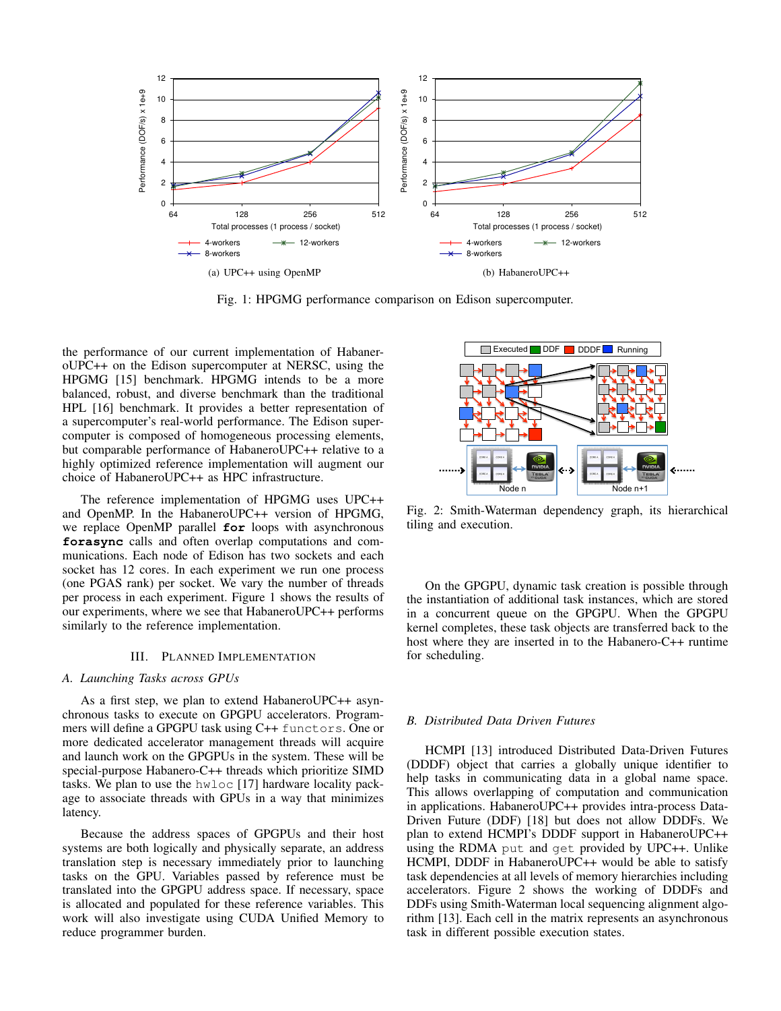

Fig. 1: HPGMG performance comparison on Edison supercomputer.

the performance of our current implementation of HabaneroUPC++ on the Edison supercomputer at NERSC, using the HPGMG [15] benchmark. HPGMG intends to be a more balanced, robust, and diverse benchmark than the traditional HPL [16] benchmark. It provides a better representation of a supercomputer's real-world performance. The Edison supercomputer is composed of homogeneous processing elements, but comparable performance of HabaneroUPC++ relative to a highly optimized reference implementation will augment our choice of HabaneroUPC++ as HPC infrastructure.

The reference implementation of HPGMG uses UPC++ and OpenMP. In the HabaneroUPC++ version of HPGMG, we replace OpenMP parallel **for** loops with asynchronous **forasync** calls and often overlap computations and communications. Each node of Edison has two sockets and each socket has 12 cores. In each experiment we run one process (one PGAS rank) per socket. We vary the number of threads per process in each experiment. Figure 1 shows the results of our experiments, where we see that HabaneroUPC++ performs similarly to the reference implementation.

### III. PLANNED IMPLEMENTATION

## *A. Launching Tasks across GPUs*

As a first step, we plan to extend HabaneroUPC++ asynchronous tasks to execute on GPGPU accelerators. Programmers will define a GPGPU task using C++ functors. One or more dedicated accelerator management threads will acquire and launch work on the GPGPUs in the system. These will be special-purpose Habanero-C++ threads which prioritize SIMD tasks. We plan to use the hwloc [17] hardware locality package to associate threads with GPUs in a way that minimizes latency.

Because the address spaces of GPGPUs and their host systems are both logically and physically separate, an address translation step is necessary immediately prior to launching tasks on the GPU. Variables passed by reference must be translated into the GPGPU address space. If necessary, space is allocated and populated for these reference variables. This work will also investigate using CUDA Unified Memory to reduce programmer burden.



Fig. 2: Smith-Waterman dependency graph, its hierarchical tiling and execution.

On the GPGPU, dynamic task creation is possible through the instantiation of additional task instances, which are stored in a concurrent queue on the GPGPU. When the GPGPU kernel completes, these task objects are transferred back to the host where they are inserted in to the Habanero-C++ runtime for scheduling.

## *B. Distributed Data Driven Futures*

HCMPI [13] introduced Distributed Data-Driven Futures (DDDF) object that carries a globally unique identifier to help tasks in communicating data in a global name space. This allows overlapping of computation and communication in applications. HabaneroUPC++ provides intra-process Data-Driven Future (DDF) [18] but does not allow DDDFs. We plan to extend HCMPI's DDDF support in HabaneroUPC++ using the RDMA put and get provided by UPC++. Unlike HCMPI, DDDF in HabaneroUPC++ would be able to satisfy task dependencies at all levels of memory hierarchies including accelerators. Figure 2 shows the working of DDDFs and DDFs using Smith-Waterman local sequencing alignment algorithm [13]. Each cell in the matrix represents an asynchronous task in different possible execution states.